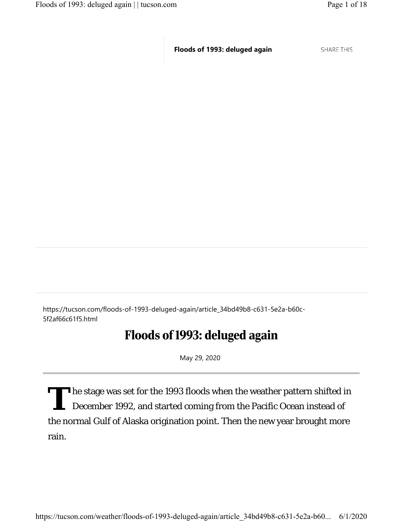**SHARE THIS** 

https://tucson.com/floods-of-1993-deluged-again/article\_34bd49b8-c631-5e2a-b60c-5f2af66c61f5.html

## Floods of 1993: deluged again

May 29, 2020

The stage was set for the 1993 floods when the weather pattern shifted in December 1992, and started coming from the Pacific Ocean instead of the normal Gulf of Alaska origination point. Then the new year brought more rain.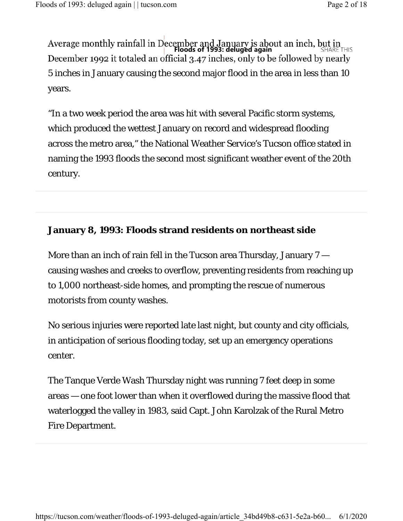5 inches in January causing the second major flood in the area in less than 10 years. **Average monthly rainfall in December and January is about an inch, but in<br><b>Floods of 1993: deluged again Floods of 1993: deluged again** SHARE THIS<br>December 1992 it totaled an official 3.47 inches, only to be followed by

"In a two week period the area was hit with several Pacific storm systems, which produced the wettest January on record and widespread flooding across the metro area," the National Weather Service's Tucson office stated in naming the 1993 floods the second most significant weather event of the 20th century.

#### **January 8, 1993: Floods strand residents on northeast side**

More than an inch of rain fell in the Tucson area Thursday, January 7 causing washes and creeks to overflow, preventing residents from reaching up to 1,000 northeast-side homes, and prompting the rescue of numerous motorists from county washes.

No serious injuries were reported late last night, but county and city officials, in anticipation of serious flooding today, set up an emergency operations center.

The Tanque Verde Wash Thursday night was running 7 feet deep in some areas — one foot lower than when it overflowed during the massive flood that waterlogged the valley in 1983, said Capt. John Karolzak of the Rural Metro Fire Department.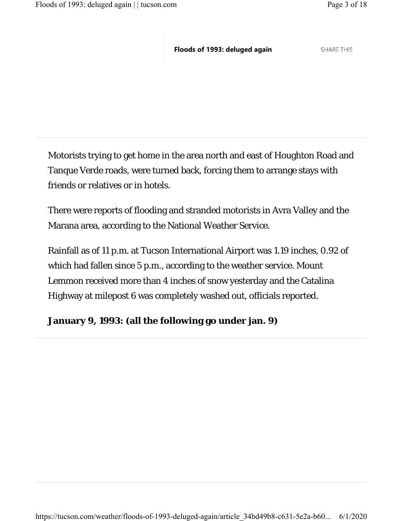**SHARE THIS** 

Motorists trying to get home in the area north and east of Houghton Road and Tanque Verde roads, were turned back, forcing them to arrange stays with friends or relatives or in hotels.

There were reports of flooding and stranded motorists in Avra Valley and the Marana area, according to the National Weather Service.

Rainfall as of 11 p.m. at Tucson International Airport was 1.19 inches, 0.92 of which had fallen since 5 p.m., according to the weather service. Mount Lemmon received more than 4 inches of snow yesterday and the Catalina Highway at milepost 6 was completely washed out, officials reported.

#### **January 9, 1993: (all the following go under jan. 9)**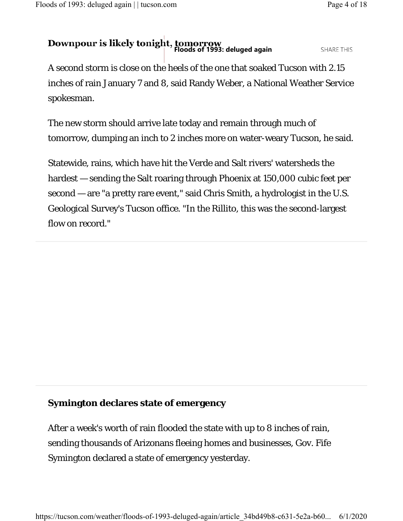# **Downpour is likely tonight, tomorrow**<br>Floods of 1993: deluged again

**SHARE THIS** 

A second storm is close on the heels of the one that soaked Tucson with 2.15 inches of rain January 7 and 8, said Randy Weber, a National Weather Service spokesman.

The new storm should arrive late today and remain through much of tomorrow, dumping an inch to 2 inches more on water-weary Tucson, he said.

Statewide, rains, which have hit the Verde and Salt rivers' watersheds the hardest — sending the Salt roaring through Phoenix at 150,000 cubic feet per second — are "a pretty rare event," said Chris Smith, a hydrologist in the U.S. Geological Survey's Tucson office. "In the Rillito, this was the second-largest flow on record."

### **Symington declares state of emergency**

After a week's worth of rain flooded the state with up to 8 inches of rain, sending thousands of Arizonans fleeing homes and businesses, Gov. Fife Symington declared a state of emergency yesterday.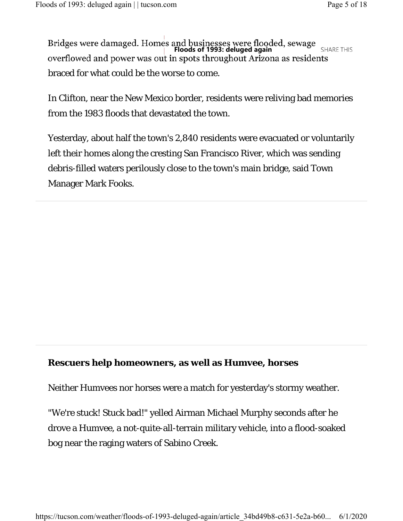Bridges were damaged. Homes and businesses were flooded, sewage<br>**Floods of 1993: deluged again** SHARF THIS overflowed and power was out in spots throughout Arizona as residents braced for what could be the worse to come.

In Clifton, near the New Mexico border, residents were reliving bad memories from the 1983 floods that devastated the town.

Yesterday, about half the town's 2,840 residents were evacuated or voluntarily left their homes along the cresting San Francisco River, which was sending debris-filled waters perilously close to the town's main bridge, said Town Manager Mark Fooks.

#### **Rescuers help homeowners, as well as Humvee, horses**

Neither Humvees nor horses were a match for yesterday's stormy weather.

"We're stuck! Stuck bad!" yelled Airman Michael Murphy seconds after he drove a Humvee, a not-quite-all-terrain military vehicle, into a flood-soaked bog near the raging waters of Sabino Creek.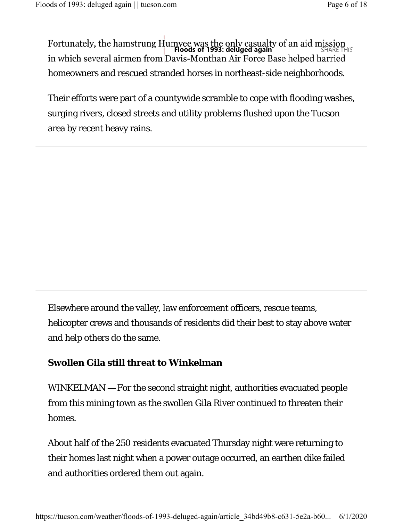homeowners and rescued stranded horses in northeast-side neighborhoods. **Fortunately, the hamstrung Humvee was the only casualty of an aid mission**<br>**Floods of 1993: deluged again**<br>in which several airmen from Davis-Monthan Air Force Base helped harried

Their efforts were part of a countywide scramble to cope with flooding washes, surging rivers, closed streets and utility problems flushed upon the Tucson area by recent heavy rains.

Elsewhere around the valley, law enforcement officers, rescue teams, helicopter crews and thousands of residents did their best to stay above water and help others do the same.

#### **Swollen Gila still threat to Winkelman**

WINKELMAN — For the second straight night, authorities evacuated people from this mining town as the swollen Gila River continued to threaten their homes.

About half of the 250 residents evacuated Thursday night were returning to their homes last night when a power outage occurred, an earthen dike failed and authorities ordered them out again.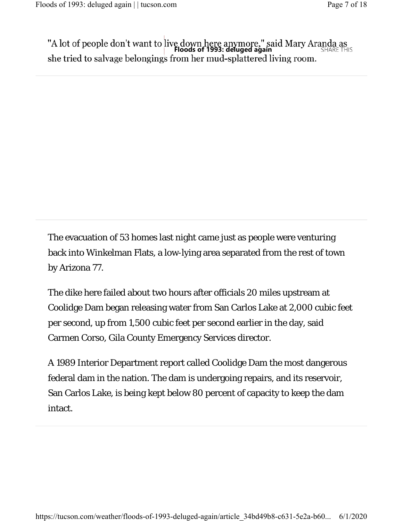"A lot of people don't want to live down here anymore," said Mary Aranda as<br>**Floods of 1993: deluged again**<br>she tried to salvage belongings from her mud-splattered living room.

The evacuation of 53 homes last night came just as people were venturing back into Winkelman Flats, a low-lying area separated from the rest of town by Arizona 77.

The dike here failed about two hours after officials 20 miles upstream at Coolidge Dam began releasing water from San Carlos Lake at 2,000 cubic feet per second, up from 1,500 cubic feet per second earlier in the day, said Carmen Corso, Gila County Emergency Services director.

A 1989 Interior Department report called Coolidge Dam the most dangerous federal dam in the nation. The dam is undergoing repairs, and its reservoir, San Carlos Lake, is being kept below 80 percent of capacity to keep the dam intact.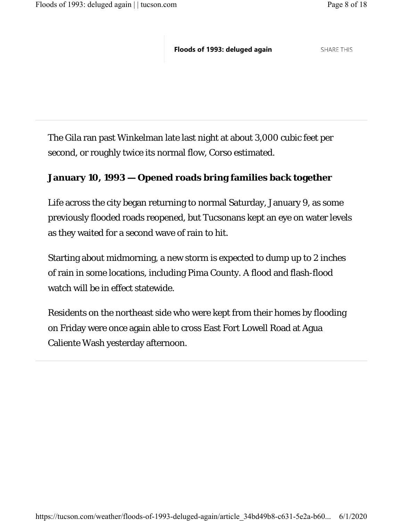**SHARE THIS** 

The Gila ran past Winkelman late last night at about 3,000 cubic feet per second, or roughly twice its normal flow, Corso estimated.

#### **January 10, 1993 — Opened roads bring families back together**

Life across the city began returning to normal Saturday, January 9, as some previously flooded roads reopened, but Tucsonans kept an eye on water levels as they waited for a second wave of rain to hit.

Starting about midmorning, a new storm is expected to dump up to 2 inches of rain in some locations, including Pima County. A flood and flash-flood watch will be in effect statewide.

Residents on the northeast side who were kept from their homes by flooding on Friday were once again able to cross East Fort Lowell Road at Agua Caliente Wash yesterday afternoon.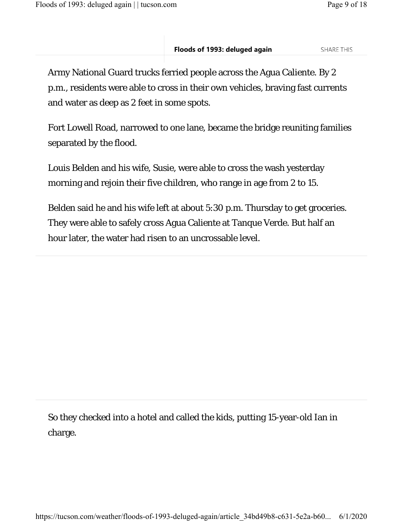Army National Guard trucks ferried people across the Agua Caliente. By 2 p.m., residents were able to cross in their own vehicles, braving fast currents and water as deep as 2 feet in some spots.

Fort Lowell Road, narrowed to one lane, became the bridge reuniting families separated by the flood.

Louis Belden and his wife, Susie, were able to cross the wash yesterday morning and rejoin their five children, who range in age from 2 to 15.

Belden said he and his wife left at about 5:30 p.m. Thursday to get groceries. They were able to safely cross Agua Caliente at Tanque Verde. But half an hour later, the water had risen to an uncrossable level.

So they checked into a hotel and called the kids, putting 15-year-old Ian in charge.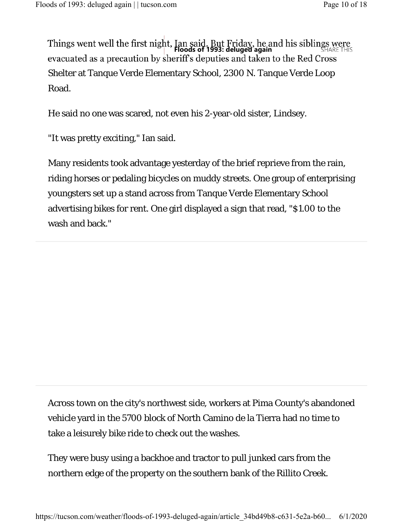**Things went well the first night, Ian said. But Friday, he and his siblings were Floods of 1993: deluged again** evacuated as a precaution by sheriff's deputies and taken to the Red Cross Shelter at Tanque Verde Elementary School, 2300 N. Tanque Verde Loop Road.

He said no one was scared, not even his 2-year-old sister, Lindsey.

"It was pretty exciting," Ian said.

Many residents took advantage yesterday of the brief reprieve from the rain, riding horses or pedaling bicycles on muddy streets. One group of enterprising youngsters set up a stand across from Tanque Verde Elementary School advertising bikes for rent. One girl displayed a sign that read, "\$1.00 to the wash and back."

Across town on the city's northwest side, workers at Pima County's abandoned vehicle yard in the 5700 block of North Camino de la Tierra had no time to take a leisurely bike ride to check out the washes.

They were busy using a backhoe and tractor to pull junked cars from the northern edge of the property on the southern bank of the Rillito Creek.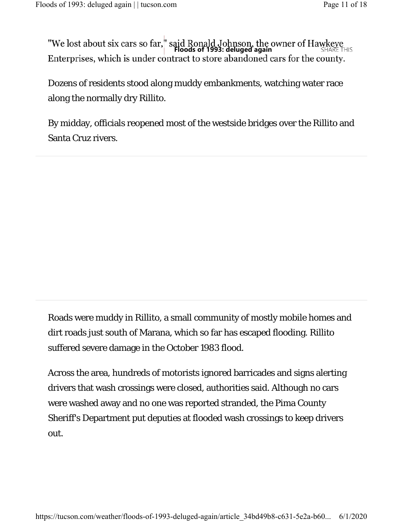**TWe lost about six cars so far," said Ronald Johnson, the owner of Hawkeye**<br>**Floods of 1993: deluged again** Enterprises, which is under contract to store abandoned cars for the county.

Dozens of residents stood along muddy embankments, watching water race along the normally dry Rillito.

By midday, officials reopened most of the westside bridges over the Rillito and Santa Cruz rivers.

Roads were muddy in Rillito, a small community of mostly mobile homes and dirt roads just south of Marana, which so far has escaped flooding. Rillito suffered severe damage in the October 1983 flood.

Across the area, hundreds of motorists ignored barricades and signs alerting drivers that wash crossings were closed, authorities said. Although no cars were washed away and no one was reported stranded, the Pima County Sheriff's Department put deputies at flooded wash crossings to keep drivers out.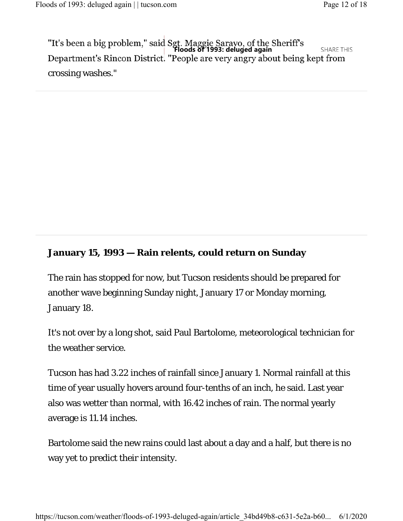Tit's been a big problem," said Sgt. Maggie Saravo, of the Sheriff's<br>**Floods of 1993: deluged again SHARE THIS** Department's Rincon District. "People are very angry about being kept from crossing washes."

#### **January 15, 1993 — Rain relents, could return on Sunday**

The rain has stopped for now, but Tucson residents should be prepared for another wave beginning Sunday night, January 17 or Monday morning, January 18.

It's not over by a long shot, said Paul Bartolome, meteorological technician for the weather service.

Tucson has had 3.22 inches of rainfall since January 1. Normal rainfall at this time of year usually hovers around four-tenths of an inch, he said. Last year also was wetter than normal, with 16.42 inches of rain. The normal yearly average is 11.14 inches.

Bartolome said the new rains could last about a day and a half, but there is no way yet to predict their intensity.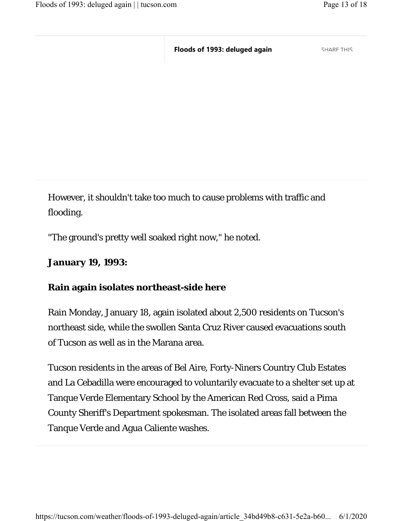**SHARE THIS** 

However, it shouldn't take too much to cause problems with traffic and flooding.

"The ground's pretty well soaked right now," he noted.

**January 19, 1993:**

#### **Rain again isolates northeast-side here**

Rain Monday, January 18, again isolated about 2,500 residents on Tucson's northeast side, while the swollen Santa Cruz River caused evacuations south of Tucson as well as in the Marana area.

Tucson residents in the areas of Bel Aire, Forty-Niners Country Club Estates and La Cebadilla were encouraged to voluntarily evacuate to a shelter set up at Tanque Verde Elementary School by the American Red Cross, said a Pima County Sheriff's Department spokesman. The isolated areas fall between the Tanque Verde and Agua Caliente washes.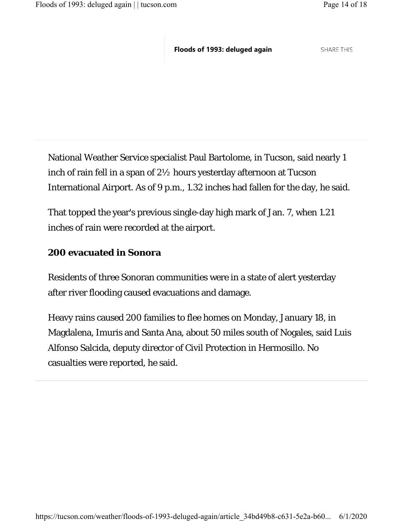**SHARE THIS** 

National Weather Service specialist Paul Bartolome, in Tucson, said nearly 1 inch of rain fell in a span of 2½ hours yesterday afternoon at Tucson International Airport. As of 9 p.m., 1.32 inches had fallen for the day, he said.

That topped the year's previous single-day high mark of Jan. 7, when 1.21 inches of rain were recorded at the airport.

#### **200 evacuated in Sonora**

Residents of three Sonoran communities were in a state of alert yesterday after river flooding caused evacuations and damage.

Heavy rains caused 200 families to flee homes on Monday, January 18, in Magdalena, Imuris and Santa Ana, about 50 miles south of Nogales, said Luis Alfonso Salcida, deputy director of Civil Protection in Hermosillo. No casualties were reported, he said.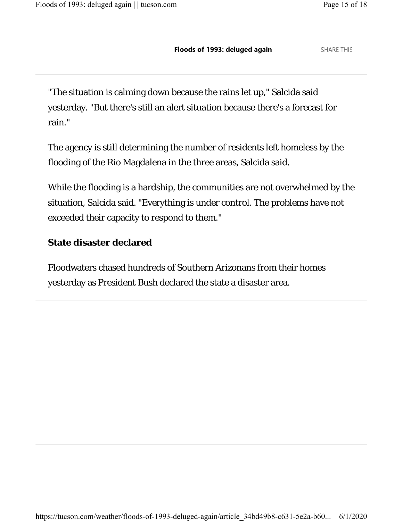"The situation is calming down because the rains let up," Salcida said yesterday. "But there's still an alert situation because there's a forecast for rain."

The agency is still determining the number of residents left homeless by the flooding of the Rio Magdalena in the three areas, Salcida said.

While the flooding is a hardship, the communities are not overwhelmed by the situation, Salcida said. "Everything is under control. The problems have not exceeded their capacity to respond to them."

#### **State disaster declared**

Floodwaters chased hundreds of Southern Arizonans from their homes yesterday as President Bush declared the state a disaster area.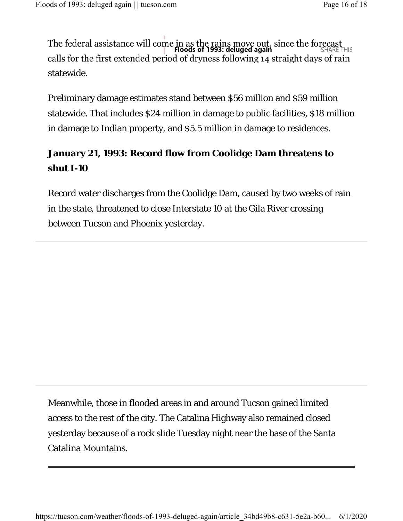statewide. The federal assistance will come in as the rains move out, since the forecast<br>**Floods of 1993: deluged again**<br>calls for the first extended period of dryness following 14 straight days of rain

Preliminary damage estimates stand between \$56 million and \$59 million statewide. That includes \$24 million in damage to public facilities, \$18 million in damage to Indian property, and \$5.5 million in damage to residences.

## **January 21, 1993: Record flow from Coolidge Dam threatens to shut I-10**

Record water discharges from the Coolidge Dam, caused by two weeks of rain in the state, threatened to close Interstate 10 at the Gila River crossing between Tucson and Phoenix yesterday.

Meanwhile, those in flooded areas in and around Tucson gained limited access to the rest of the city. The Catalina Highway also remained closed yesterday because of a rock slide Tuesday night near the base of the Santa Catalina Mountains.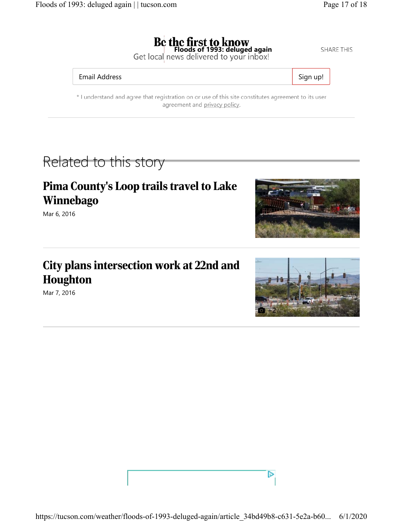**SHARE THIS** 

**Floods of 1993: deluged again**<br>Get local news delivered to your inbox!

#### Email Address Sign up!

\* I understand and agree that registration on or use of this site constitutes agreement to its user agreement and privacy policy.

## Related to this story

## Pima County's Loop trails travel to Lake Winnebago

Mar 6, 2016

## City plans intersection work at 22nd and Houghton

Mar 7, 2016